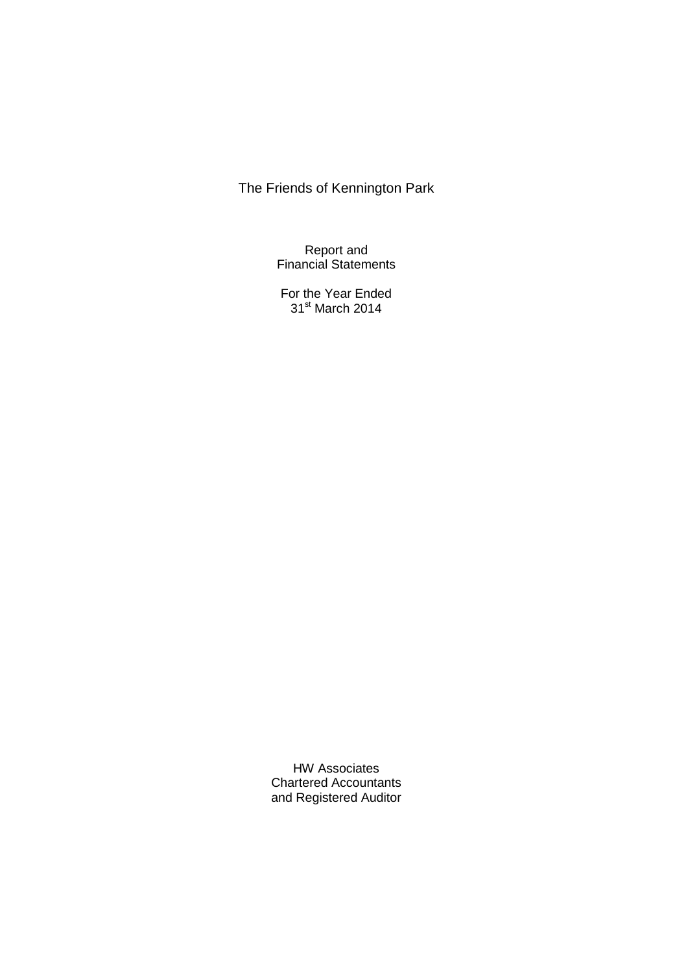Report and Financial Statements

For the Year Ended 31<sup>st</sup> March 2014

HW Associates Chartered Accountants and Registered Auditor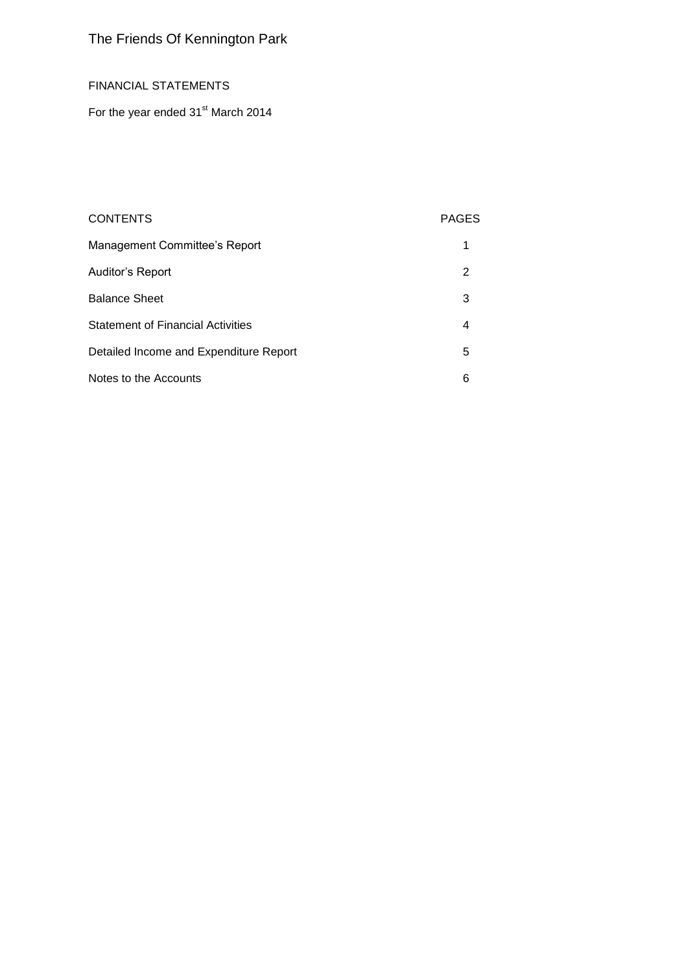## FINANCIAL STATEMENTS

For the year ended 31<sup>st</sup> March 2014

# CONTENTS PAGES

| Management Committee's Report            |   |
|------------------------------------------|---|
| Auditor's Report                         | 2 |
| <b>Balance Sheet</b>                     | 3 |
| <b>Statement of Financial Activities</b> | 4 |
| Detailed Income and Expenditure Report   | 5 |
| Notes to the Accounts                    | 6 |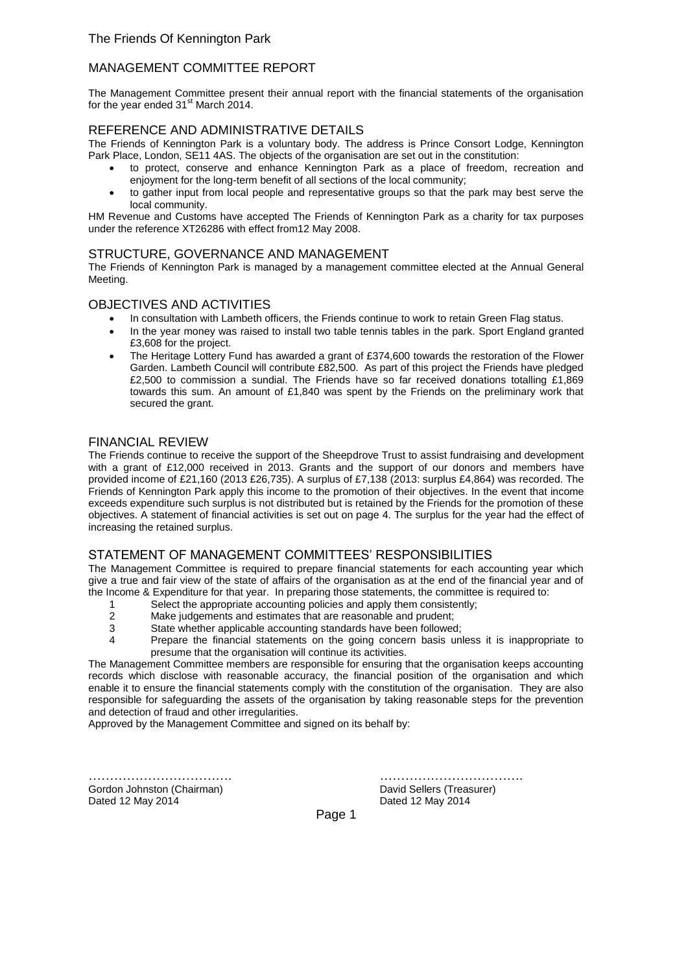## MANAGEMENT COMMITTEE REPORT

The Management Committee present their annual report with the financial statements of the organisation for the year ended  $31<sup>st</sup>$  March 2014.

### REFERENCE AND ADMINISTRATIVE DETAILS

The Friends of Kennington Park is a voluntary body. The address is Prince Consort Lodge, Kennington Park Place, London, SE11 4AS. The objects of the organisation are set out in the constitution:

- to protect, conserve and enhance Kennington Park as a place of freedom, recreation and enjoyment for the long-term benefit of all sections of the local community;
- to gather input from local people and representative groups so that the park may best serve the local community.

HM Revenue and Customs have accepted The Friends of Kennington Park as a charity for tax purposes under the reference XT26286 with effect from12 May 2008.

### STRUCTURE, GOVERNANCE AND MANAGEMENT

The Friends of Kennington Park is managed by a management committee elected at the Annual General Meeting.

#### OBJECTIVES AND ACTIVITIES

- In consultation with Lambeth officers, the Friends continue to work to retain Green Flag status.
	- In the year money was raised to install two table tennis tables in the park. Sport England granted £3,608 for the project.
	- The Heritage Lottery Fund has awarded a grant of £374,600 towards the restoration of the Flower Garden. Lambeth Council will contribute £82,500. As part of this project the Friends have pledged £2,500 to commission a sundial. The Friends have so far received donations totalling £1,869 towards this sum. An amount of £1,840 was spent by the Friends on the preliminary work that secured the grant.

### FINANCIAL REVIEW

The Friends continue to receive the support of the Sheepdrove Trust to assist fundraising and development with a grant of £12,000 received in 2013. Grants and the support of our donors and members have provided income of £21,160 (2013 £26,735). A surplus of £7,138 (2013: surplus £4,864) was recorded. The Friends of Kennington Park apply this income to the promotion of their objectives. In the event that income exceeds expenditure such surplus is not distributed but is retained by the Friends for the promotion of these objectives. A statement of financial activities is set out on page 4. The surplus for the year had the effect of increasing the retained surplus.

### STATEMENT OF MANAGEMENT COMMITTEES' RESPONSIBILITIES

The Management Committee is required to prepare financial statements for each accounting year which give a true and fair view of the state of affairs of the organisation as at the end of the financial year and of the Income & Expenditure for that year. In preparing those statements, the committee is required to:

- 1 Select the appropriate accounting policies and apply them consistently;
- 2 Make judgements and estimates that are reasonable and prudent;<br>3 State whether applicable accounting standards have been followed
- 3 State whether applicable accounting standards have been followed;<br>4 **State Prepare the financial statements** on the going concern basis un
- Prepare the financial statements on the going concern basis unless it is inappropriate to presume that the organisation will continue its activities.

The Management Committee members are responsible for ensuring that the organisation keeps accounting records which disclose with reasonable accuracy, the financial position of the organisation and which enable it to ensure the financial statements comply with the constitution of the organisation. They are also responsible for safeguarding the assets of the organisation by taking reasonable steps for the prevention and detection of fraud and other irregularities.

Approved by the Management Committee and signed on its behalf by:

Gordon Johnston (Chairman) **David Sellers (Treasurer)** David Sellers (Treasurer) Dated 12 May 2014 Dated 12 May 2014

……………………………. …………………………….

Page 1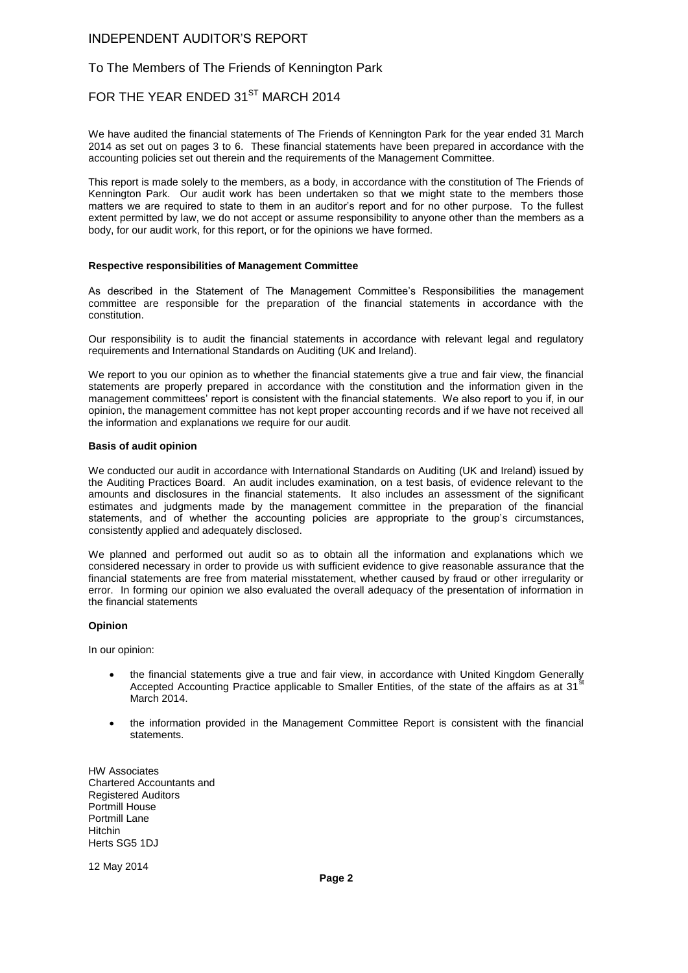### INDEPENDENT AUDITOR'S REPORT

### To The Members of The Friends of Kennington Park

## FOR THE YEAR ENDED 31<sup>ST</sup> MARCH 2014

We have audited the financial statements of The Friends of Kennington Park for the year ended 31 March 2014 as set out on pages 3 to 6. These financial statements have been prepared in accordance with the accounting policies set out therein and the requirements of the Management Committee.

This report is made solely to the members, as a body, in accordance with the constitution of The Friends of Kennington Park. Our audit work has been undertaken so that we might state to the members those matters we are required to state to them in an auditor's report and for no other purpose. To the fullest extent permitted by law, we do not accept or assume responsibility to anyone other than the members as a body, for our audit work, for this report, or for the opinions we have formed.

#### **Respective responsibilities of Management Committee**

As described in the Statement of The Management Committee's Responsibilities the management committee are responsible for the preparation of the financial statements in accordance with the constitution.

Our responsibility is to audit the financial statements in accordance with relevant legal and regulatory requirements and International Standards on Auditing (UK and Ireland).

We report to you our opinion as to whether the financial statements give a true and fair view, the financial statements are properly prepared in accordance with the constitution and the information given in the management committees' report is consistent with the financial statements. We also report to you if, in our opinion, the management committee has not kept proper accounting records and if we have not received all the information and explanations we require for our audit.

#### **Basis of audit opinion**

We conducted our audit in accordance with International Standards on Auditing (UK and Ireland) issued by the Auditing Practices Board. An audit includes examination, on a test basis, of evidence relevant to the amounts and disclosures in the financial statements. It also includes an assessment of the significant estimates and judgments made by the management committee in the preparation of the financial statements, and of whether the accounting policies are appropriate to the group's circumstances, consistently applied and adequately disclosed.

We planned and performed out audit so as to obtain all the information and explanations which we considered necessary in order to provide us with sufficient evidence to give reasonable assurance that the financial statements are free from material misstatement, whether caused by fraud or other irregularity or error. In forming our opinion we also evaluated the overall adequacy of the presentation of information in the financial statements

#### **Opinion**

In our opinion:

- the financial statements give a true and fair view, in accordance with United Kingdom Generally Accepted Accounting Practice applicable to Smaller Entities, of the state of the affairs as at 31 March 2014.
- the information provided in the Management Committee Report is consistent with the financial statements.

HW Associates Chartered Accountants and Registered Auditors Portmill House Portmill Lane Hitchin Herts SG5 1DJ

12 May 2014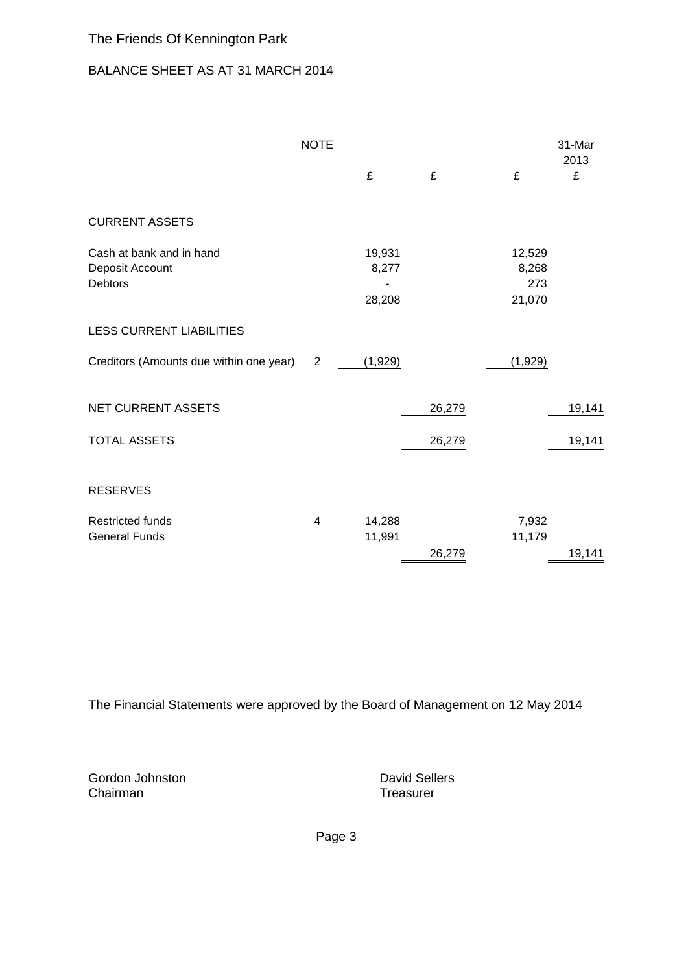# BALANCE SHEET AS AT 31 MARCH 2014

|                                                               | <b>NOTE</b>    | £                         | £      | £                                | 31-Mar<br>2013<br>£ |
|---------------------------------------------------------------|----------------|---------------------------|--------|----------------------------------|---------------------|
| <b>CURRENT ASSETS</b>                                         |                |                           |        |                                  |                     |
| Cash at bank and in hand<br>Deposit Account<br><b>Debtors</b> |                | 19,931<br>8,277<br>28,208 |        | 12,529<br>8,268<br>273<br>21,070 |                     |
| <b>LESS CURRENT LIABILITIES</b>                               |                |                           |        |                                  |                     |
| Creditors (Amounts due within one year)                       | $\overline{2}$ | (1,929)                   |        | (1,929)                          |                     |
| NET CURRENT ASSETS                                            |                |                           | 26,279 |                                  | 19,141              |
| <b>TOTAL ASSETS</b>                                           |                |                           | 26,279 |                                  | 19,141              |
| <b>RESERVES</b>                                               |                |                           |        |                                  |                     |
| <b>Restricted funds</b><br><b>General Funds</b>               | $\overline{4}$ | 14,288<br>11,991          | 26,279 | 7,932<br>11,179                  | 19,141              |

The Financial Statements were approved by the Board of Management on 12 May 2014

Gordon Johnston **David Sellers**<br>
Chairman **David Sellers**<br>
Chairman **David Sellers** 

Treasurer

Page 3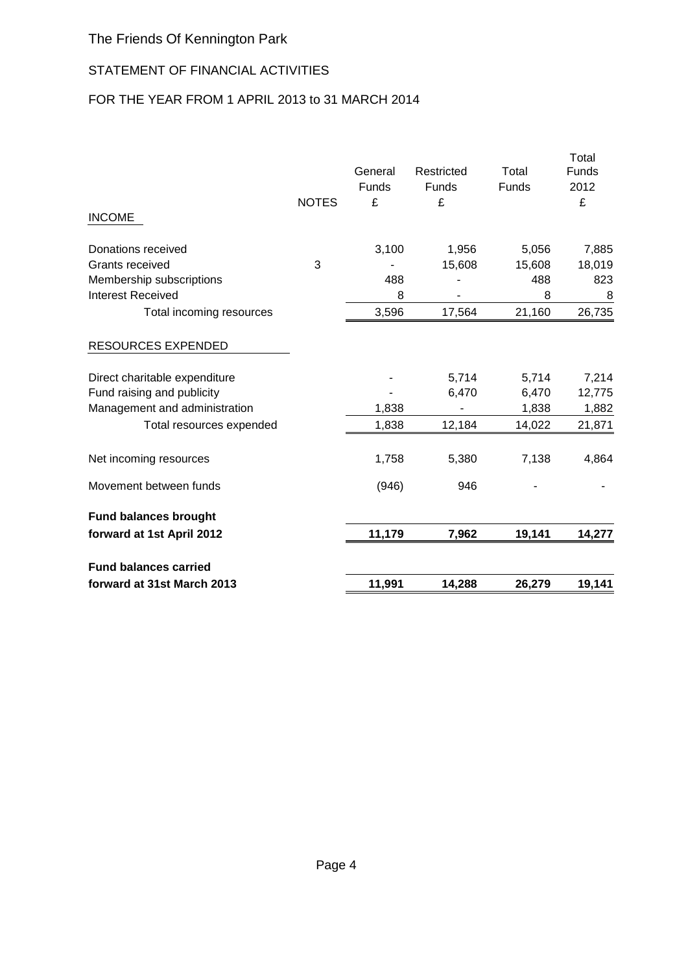# STATEMENT OF FINANCIAL ACTIVITIES

# FOR THE YEAR FROM 1 APRIL 2013 to 31 MARCH 2014

|                               |              | General<br>Funds | Restricted<br>Funds | Total<br>Funds | Total<br>Funds<br>2012 |
|-------------------------------|--------------|------------------|---------------------|----------------|------------------------|
|                               | <b>NOTES</b> | £                | £                   |                | £                      |
| <b>INCOME</b>                 |              |                  |                     |                |                        |
| Donations received            |              | 3,100            | 1,956               | 5,056          | 7,885                  |
| <b>Grants received</b>        | 3            |                  | 15,608              | 15,608         | 18,019                 |
| Membership subscriptions      |              | 488              |                     | 488            | 823                    |
| <b>Interest Received</b>      |              | 8                |                     | 8              | 8                      |
| Total incoming resources      |              | 3,596            | 17,564              | 21,160         | 26,735                 |
| <b>RESOURCES EXPENDED</b>     |              |                  |                     |                |                        |
| Direct charitable expenditure |              |                  | 5,714               | 5,714          | 7,214                  |
| Fund raising and publicity    |              |                  | 6,470               | 6,470          | 12,775                 |
| Management and administration |              | 1,838            |                     | 1,838          | 1,882                  |
| Total resources expended      |              | 1,838            | 12,184              | 14,022         | 21,871                 |
| Net incoming resources        |              | 1,758            | 5,380               | 7,138          | 4,864                  |
| Movement between funds        |              | (946)            | 946                 |                |                        |
| <b>Fund balances brought</b>  |              |                  |                     |                |                        |
| forward at 1st April 2012     |              | 11,179           | 7,962               | 19,141         | 14,277                 |
| <b>Fund balances carried</b>  |              |                  |                     |                |                        |
| forward at 31st March 2013    |              | 11,991           | 14,288              | 26,279         | 19,141                 |
|                               |              |                  |                     |                |                        |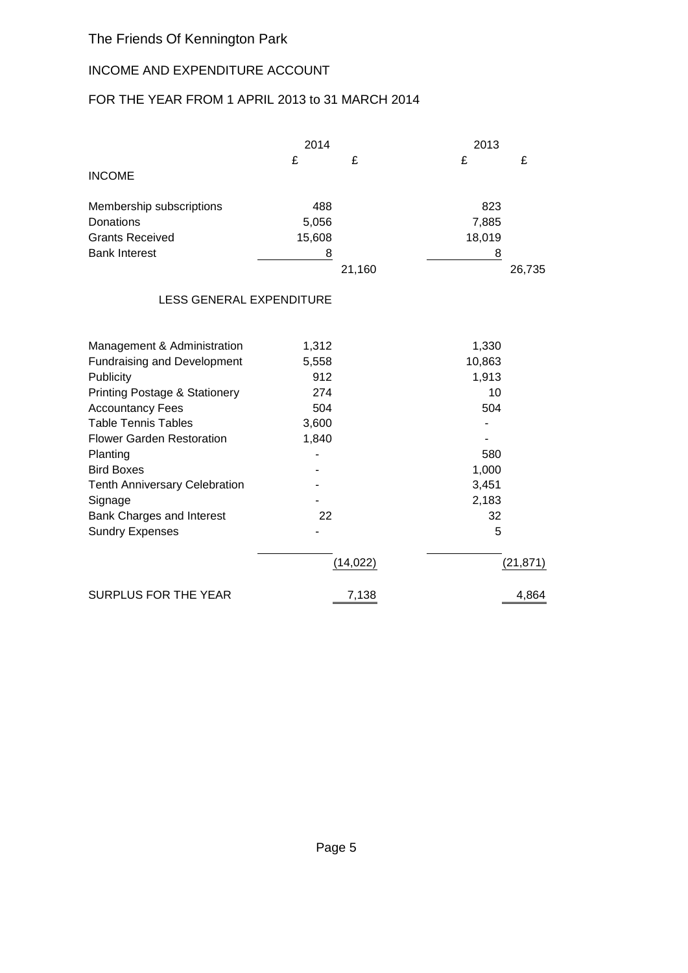# INCOME AND EXPENDITURE ACCOUNT

# FOR THE YEAR FROM 1 APRIL 2013 to 31 MARCH 2014

|                                    | 2014   |        | 2013   |        |  |
|------------------------------------|--------|--------|--------|--------|--|
|                                    | £      | £      | £      | £      |  |
| <b>INCOME</b>                      |        |        |        |        |  |
| Membership subscriptions           | 488    |        | 823    |        |  |
| Donations                          | 5,056  |        | 7,885  |        |  |
| <b>Grants Received</b>             | 15,608 |        | 18,019 |        |  |
| <b>Bank Interest</b>               | 8      |        | 8      |        |  |
|                                    |        | 21,160 |        | 26,735 |  |
| <b>LESS GENERAL EXPENDITURE</b>    |        |        |        |        |  |
| Management & Administration        | 1,312  |        | 1,330  |        |  |
| <b>Fundraising and Development</b> | 5,558  |        | 10,863 |        |  |

| <b>Publicity</b>                         | 912       | 1,913     |
|------------------------------------------|-----------|-----------|
| <b>Printing Postage &amp; Stationery</b> | 274       | 10        |
| <b>Accountancy Fees</b>                  | 504       | 504       |
| <b>Table Tennis Tables</b>               | 3,600     |           |
| <b>Flower Garden Restoration</b>         | 1,840     |           |
| Planting                                 |           | 580       |
| <b>Bird Boxes</b>                        |           | 1,000     |
| <b>Tenth Anniversary Celebration</b>     |           | 3,451     |
| Signage                                  |           | 2,183     |
| Bank Charges and Interest                | 22        | 32        |
| <b>Sundry Expenses</b>                   |           | 5         |
|                                          | (14, 022) | (21, 871) |
| <b>SURPLUS FOR THE YEAR</b>              | 7,138     | 4,864     |
|                                          |           |           |